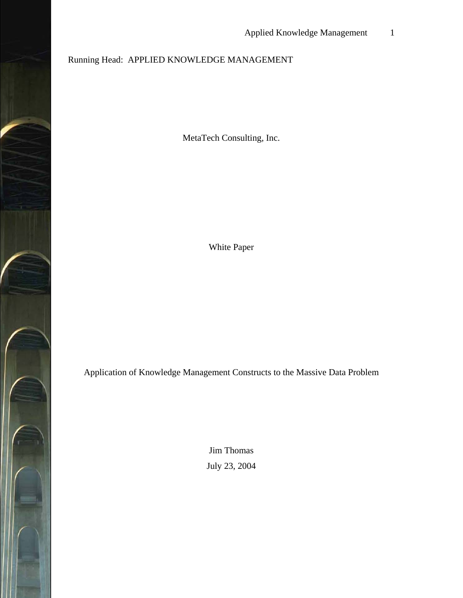# Running Head: APPLIED KNOWLEDGE MANAGEMENT

MetaTech Consulting, Inc.

White Paper

Application of Knowledge Management Constructs to the Massive Data Problem

Jim Thomas July 23, 2004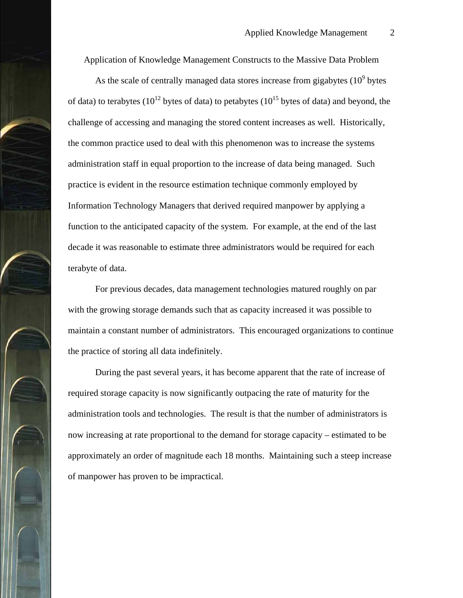Application of Knowledge Management Constructs to the Massive Data Problem

As the scale of centrally managed data stores increase from gigabytes  $(10^9$  bytes of data) to terabytes ( $10^{12}$  bytes of data) to petabytes ( $10^{15}$  bytes of data) and beyond, the challenge of accessing and managing the stored content increases as well. Historically, the common practice used to deal with this phenomenon was to increase the systems administration staff in equal proportion to the increase of data being managed. Such practice is evident in the resource estimation technique commonly employed by Information Technology Managers that derived required manpower by applying a function to the anticipated capacity of the system. For example, at the end of the last decade it was reasonable to estimate three administrators would be required for each terabyte of data.

For previous decades, data management technologies matured roughly on par with the growing storage demands such that as capacity increased it was possible to maintain a constant number of administrators. This encouraged organizations to continue the practice of storing all data indefinitely.

During the past several years, it has become apparent that the rate of increase of required storage capacity is now significantly outpacing the rate of maturity for the administration tools and technologies. The result is that the number of administrators is now increasing at rate proportional to the demand for storage capacity – estimated to be approximately an order of magnitude each 18 months. Maintaining such a steep increase of manpower has proven to be impractical.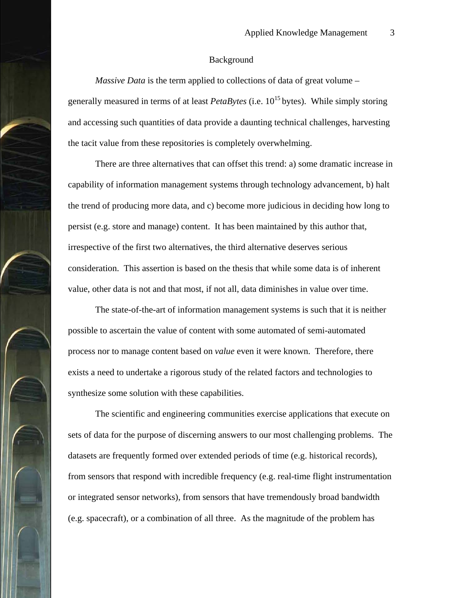#### Background

*Massive Data* is the term applied to collections of data of great volume – generally measured in terms of at least *PetaBytes* (i.e. 10<sup>15</sup> bytes). While simply storing and accessing such quantities of data provide a daunting technical challenges, harvesting the tacit value from these repositories is completely overwhelming.

There are three alternatives that can offset this trend: a) some dramatic increase in capability of information management systems through technology advancement, b) halt the trend of producing more data, and c) become more judicious in deciding how long to persist (e.g. store and manage) content. It has been maintained by this author that, irrespective of the first two alternatives, the third alternative deserves serious consideration. This assertion is based on the thesis that while some data is of inherent value, other data is not and that most, if not all, data diminishes in value over time.

The state-of-the-art of information management systems is such that it is neither possible to ascertain the value of content with some automated of semi-automated process nor to manage content based on *value* even it were known. Therefore, there exists a need to undertake a rigorous study of the related factors and technologies to synthesize some solution with these capabilities.

The scientific and engineering communities exercise applications that execute on sets of data for the purpose of discerning answers to our most challenging problems. The datasets are frequently formed over extended periods of time (e.g. historical records), from sensors that respond with incredible frequency (e.g. real-time flight instrumentation or integrated sensor networks), from sensors that have tremendously broad bandwidth (e.g. spacecraft), or a combination of all three. As the magnitude of the problem has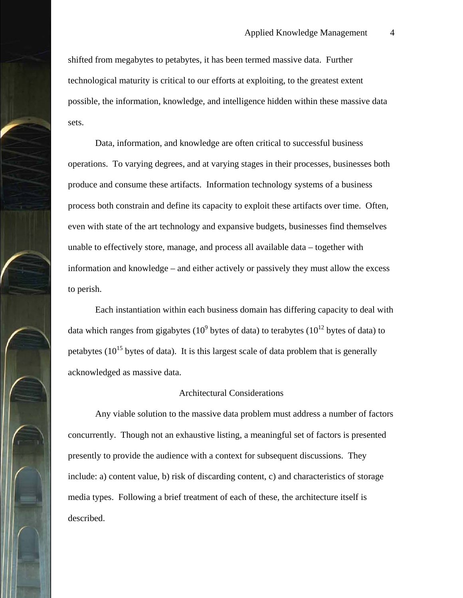shifted from megabytes to petabytes, it has been termed massive data. Further technological maturity is critical to our efforts at exploiting, to the greatest extent possible, the information, knowledge, and intelligence hidden within these massive data sets.

Data, information, and knowledge are often critical to successful business operations. To varying degrees, and at varying stages in their processes, businesses both produce and consume these artifacts. Information technology systems of a business process both constrain and define its capacity to exploit these artifacts over time. Often, even with state of the art technology and expansive budgets, businesses find themselves unable to effectively store, manage, and process all available data – together with information and knowledge – and either actively or passively they must allow the excess to perish.

Each instantiation within each business domain has differing capacity to deal with data which ranges from gigabytes (10<sup>9</sup> bytes of data) to terabytes (10<sup>12</sup> bytes of data) to petabytes  $(10^{15}$  bytes of data). It is this largest scale of data problem that is generally acknowledged as massive data.

#### Architectural Considerations

Any viable solution to the massive data problem must address a number of factors concurrently. Though not an exhaustive listing, a meaningful set of factors is presented presently to provide the audience with a context for subsequent discussions. They include: a) content value, b) risk of discarding content, c) and characteristics of storage media types. Following a brief treatment of each of these, the architecture itself is described.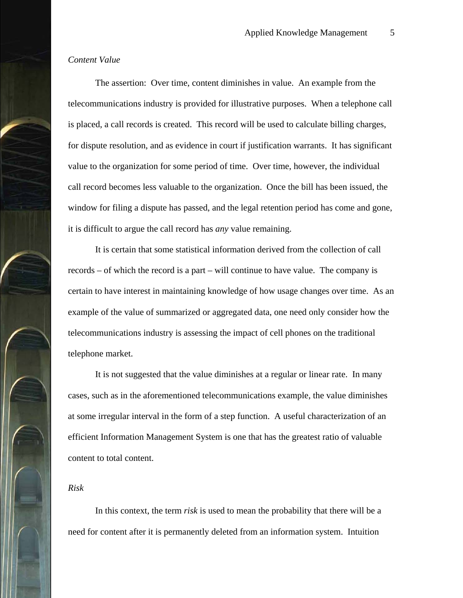## *Content Value*

The assertion: Over time, content diminishes in value. An example from the telecommunications industry is provided for illustrative purposes. When a telephone call is placed, a call records is created. This record will be used to calculate billing charges, for dispute resolution, and as evidence in court if justification warrants. It has significant value to the organization for some period of time. Over time, however, the individual call record becomes less valuable to the organization. Once the bill has been issued, the window for filing a dispute has passed, and the legal retention period has come and gone, it is difficult to argue the call record has *any* value remaining.

It is certain that some statistical information derived from the collection of call records – of which the record is a part – will continue to have value. The company is certain to have interest in maintaining knowledge of how usage changes over time. As an example of the value of summarized or aggregated data, one need only consider how the telecommunications industry is assessing the impact of cell phones on the traditional telephone market.

It is not suggested that the value diminishes at a regular or linear rate. In many cases, such as in the aforementioned telecommunications example, the value diminishes at some irregular interval in the form of a step function. A useful characterization of an efficient Information Management System is one that has the greatest ratio of valuable content to total content.

#### *Risk*

In this context, the term *risk* is used to mean the probability that there will be a need for content after it is permanently deleted from an information system. Intuition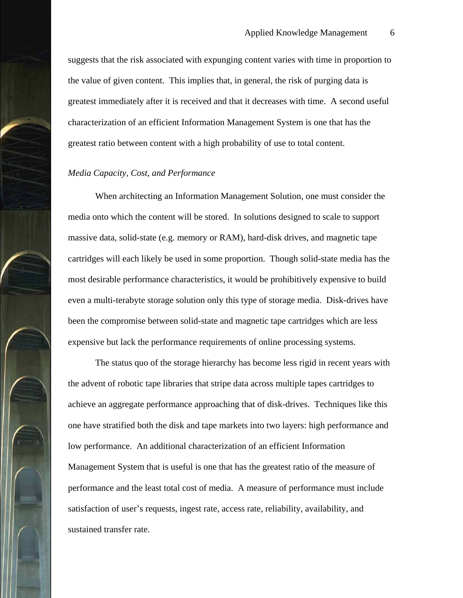suggests that the risk associated with expunging content varies with time in proportion to the value of given content. This implies that, in general, the risk of purging data is greatest immediately after it is received and that it decreases with time. A second useful characterization of an efficient Information Management System is one that has the greatest ratio between content with a high probability of use to total content.

#### *Media Capacity, Cost, and Performance*

When architecting an Information Management Solution, one must consider the media onto which the content will be stored. In solutions designed to scale to support massive data, solid-state (e.g. memory or RAM), hard-disk drives, and magnetic tape cartridges will each likely be used in some proportion. Though solid-state media has the most desirable performance characteristics, it would be prohibitively expensive to build even a multi-terabyte storage solution only this type of storage media. Disk-drives have been the compromise between solid-state and magnetic tape cartridges which are less expensive but lack the performance requirements of online processing systems.

The status quo of the storage hierarchy has become less rigid in recent years with the advent of robotic tape libraries that stripe data across multiple tapes cartridges to achieve an aggregate performance approaching that of disk-drives. Techniques like this one have stratified both the disk and tape markets into two layers: high performance and low performance. An additional characterization of an efficient Information Management System that is useful is one that has the greatest ratio of the measure of performance and the least total cost of media. A measure of performance must include satisfaction of user's requests, ingest rate, access rate, reliability, availability, and sustained transfer rate.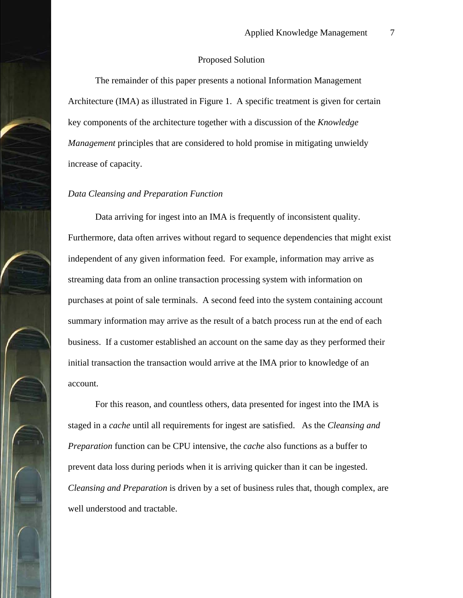#### Proposed Solution

The remainder of this paper presents a notional Information Management Architecture (IMA) as illustrated in Figure 1. A specific treatment is given for certain key components of the architecture together with a discussion of the *Knowledge Management* principles that are considered to hold promise in mitigating unwieldy increase of capacity.

#### *Data Cleansing and Preparation Function*

Data arriving for ingest into an IMA is frequently of inconsistent quality. Furthermore, data often arrives without regard to sequence dependencies that might exist independent of any given information feed. For example, information may arrive as streaming data from an online transaction processing system with information on purchases at point of sale terminals. A second feed into the system containing account summary information may arrive as the result of a batch process run at the end of each business. If a customer established an account on the same day as they performed their initial transaction the transaction would arrive at the IMA prior to knowledge of an account.

For this reason, and countless others, data presented for ingest into the IMA is staged in a *cache* until all requirements for ingest are satisfied. As the *Cleansing and Preparation* function can be CPU intensive, the *cache* also functions as a buffer to prevent data loss during periods when it is arriving quicker than it can be ingested. *Cleansing and Preparation* is driven by a set of business rules that, though complex, are well understood and tractable.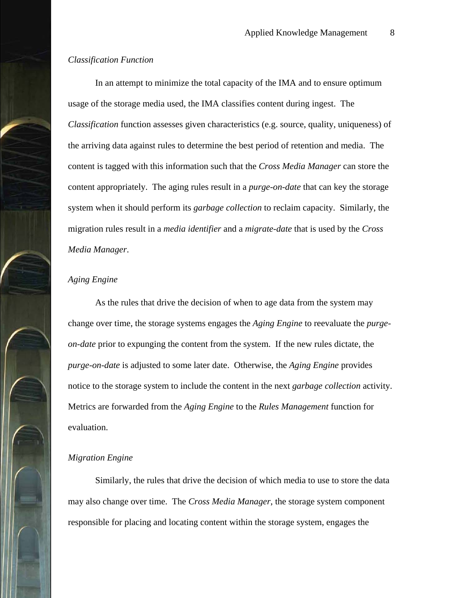## *Classification Function*

In an attempt to minimize the total capacity of the IMA and to ensure optimum usage of the storage media used, the IMA classifies content during ingest. The *Classification* function assesses given characteristics (e.g. source, quality, uniqueness) of the arriving data against rules to determine the best period of retention and media. The content is tagged with this information such that the *Cross Media Manager* can store the content appropriately. The aging rules result in a *purge-on-date* that can key the storage system when it should perform its *garbage collection* to reclaim capacity. Similarly, the migration rules result in a *media identifier* and a *migrate-date* that is used by the *Cross Media Manager*.

## *Aging Engine*

As the rules that drive the decision of when to age data from the system may change over time, the storage systems engages the *Aging Engine* to reevaluate the *purgeon-date* prior to expunging the content from the system. If the new rules dictate, the *purge-on-date* is adjusted to some later date. Otherwise, the *Aging Engine* provides notice to the storage system to include the content in the next *garbage collection* activity. Metrics are forwarded from the *Aging Engine* to the *Rules Management* function for evaluation.

# *Migration Engine*

Similarly, the rules that drive the decision of which media to use to store the data may also change over time. The *Cross Media Manager*, the storage system component responsible for placing and locating content within the storage system, engages the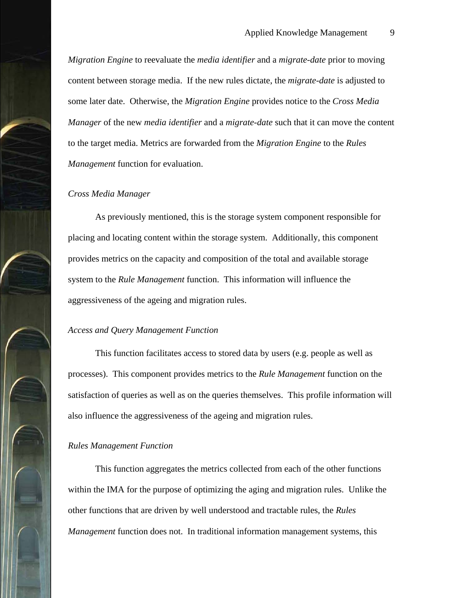*Migration Engine* to reevaluate the *media identifier* and a *migrate-date* prior to moving content between storage media. If the new rules dictate, the *migrate-date* is adjusted to some later date. Otherwise, the *Migration Engine* provides notice to the *Cross Media Manager* of the new *media identifier* and a *migrate-date* such that it can move the content to the target media. Metrics are forwarded from the *Migration Engine* to the *Rules Management* function for evaluation.

#### *Cross Media Manager*

As previously mentioned, this is the storage system component responsible for placing and locating content within the storage system. Additionally, this component provides metrics on the capacity and composition of the total and available storage system to the *Rule Management* function. This information will influence the aggressiveness of the ageing and migration rules.

#### *Access and Query Management Function*

This function facilitates access to stored data by users (e.g. people as well as processes). This component provides metrics to the *Rule Management* function on the satisfaction of queries as well as on the queries themselves. This profile information will also influence the aggressiveness of the ageing and migration rules.

#### *Rules Management Function*

This function aggregates the metrics collected from each of the other functions within the IMA for the purpose of optimizing the aging and migration rules. Unlike the other functions that are driven by well understood and tractable rules, the *Rules Management* function does not. In traditional information management systems, this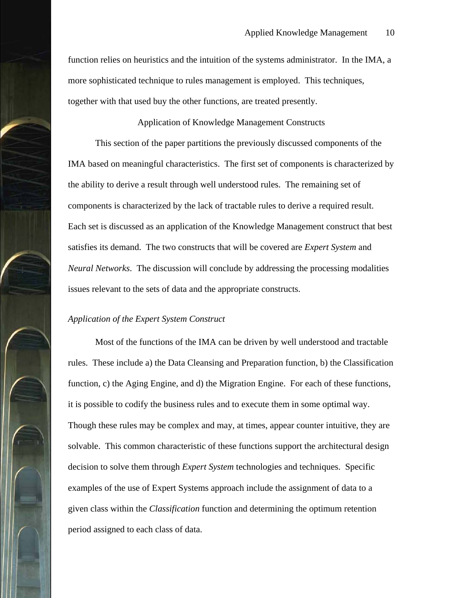function relies on heuristics and the intuition of the systems administrator. In the IMA, a more sophisticated technique to rules management is employed. This techniques, together with that used buy the other functions, are treated presently.

Application of Knowledge Management Constructs

This section of the paper partitions the previously discussed components of the IMA based on meaningful characteristics. The first set of components is characterized by the ability to derive a result through well understood rules. The remaining set of components is characterized by the lack of tractable rules to derive a required result. Each set is discussed as an application of the Knowledge Management construct that best satisfies its demand. The two constructs that will be covered are *Expert System* and *Neural Networks*. The discussion will conclude by addressing the processing modalities issues relevant to the sets of data and the appropriate constructs.

## *Application of the Expert System Construct*

Most of the functions of the IMA can be driven by well understood and tractable rules. These include a) the Data Cleansing and Preparation function, b) the Classification function, c) the Aging Engine, and d) the Migration Engine. For each of these functions, it is possible to codify the business rules and to execute them in some optimal way. Though these rules may be complex and may, at times, appear counter intuitive, they are solvable. This common characteristic of these functions support the architectural design decision to solve them through *Expert System* technologies and techniques. Specific examples of the use of Expert Systems approach include the assignment of data to a given class within the *Classification* function and determining the optimum retention period assigned to each class of data.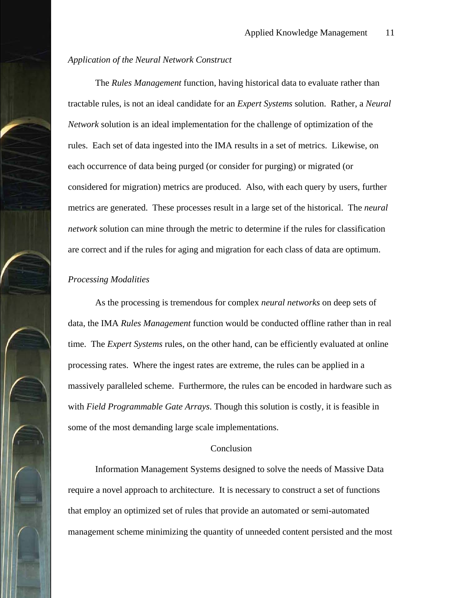## *Application of the Neural Network Construct*

The *Rules Management* function, having historical data to evaluate rather than tractable rules, is not an ideal candidate for an *Expert Systems* solution. Rather, a *Neural Network* solution is an ideal implementation for the challenge of optimization of the rules. Each set of data ingested into the IMA results in a set of metrics. Likewise, on each occurrence of data being purged (or consider for purging) or migrated (or considered for migration) metrics are produced. Also, with each query by users, further metrics are generated. These processes result in a large set of the historical. The *neural network* solution can mine through the metric to determine if the rules for classification are correct and if the rules for aging and migration for each class of data are optimum.

## *Processing Modalities*

As the processing is tremendous for complex *neural networks* on deep sets of data, the IMA *Rules Management* function would be conducted offline rather than in real time. The *Expert Systems* rules, on the other hand, can be efficiently evaluated at online processing rates. Where the ingest rates are extreme, the rules can be applied in a massively paralleled scheme. Furthermore, the rules can be encoded in hardware such as with *Field Programmable Gate Arrays*. Though this solution is costly, it is feasible in some of the most demanding large scale implementations.

#### Conclusion

Information Management Systems designed to solve the needs of Massive Data require a novel approach to architecture. It is necessary to construct a set of functions that employ an optimized set of rules that provide an automated or semi-automated management scheme minimizing the quantity of unneeded content persisted and the most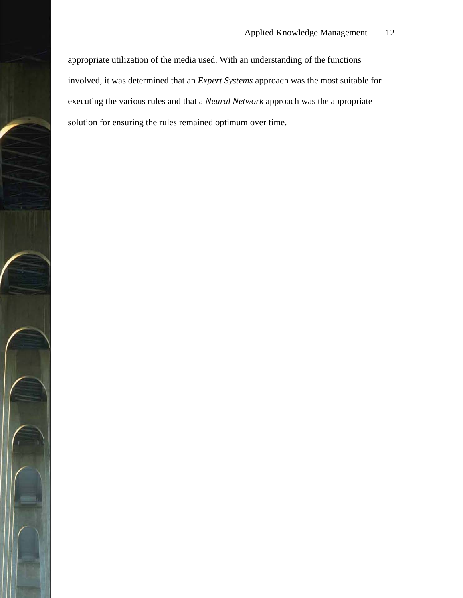appropriate utilization of the media used. With an understanding of the functions involved, it was determined that an *Expert Systems* approach was the most suitable for executing the various rules and that a *Neural Network* approach was the appropriate solution for ensuring the rules remained optimum over time.